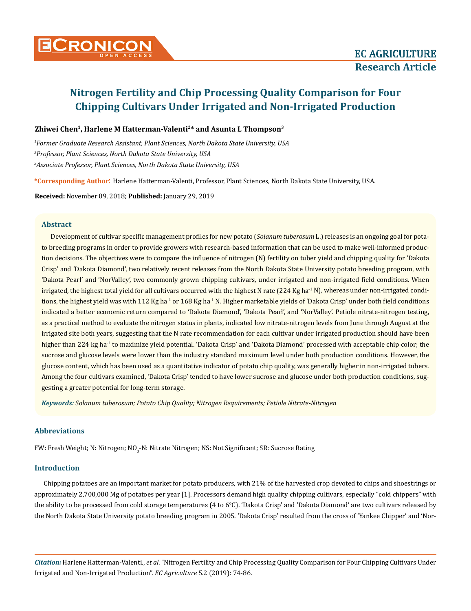

## **Zhiwei Chen1, Harlene M Hatterman-Valenti2\* and Asunta L Thompson3**

*1 Former Graduate Research Assistant, Plant Sciences, North Dakota State University, USA 2 Professor, Plant Sciences, North Dakota State University, USA 3 Associate Professor, Plant Sciences, North Dakota State University, USA*

**\*Corresponding Author**: Harlene Hatterman-Valenti, Professor, Plant Sciences, North Dakota State University, USA.

**Received:** November 09, 2018; **Published:** January 29, 2019

## **Abstract**

Development of cultivar specific management profiles for new potato (*Solanum tuberosum* L.) releases is an ongoing goal for potato breeding programs in order to provide growers with research-based information that can be used to make well-informed production decisions. The objectives were to compare the influence of nitrogen (N) fertility on tuber yield and chipping quality for 'Dakota Crisp' and 'Dakota Diamond', two relatively recent releases from the North Dakota State University potato breeding program, with 'Dakota Pearl' and 'NorValley', two commonly grown chipping cultivars, under irrigated and non-irrigated field conditions. When irrigated, the highest total yield for all cultivars occurred with the highest N rate  $(224 \text{ Kg ha}^{-1} \text{ N})$ , whereas under non-irrigated conditions, the highest yield was with 112 Kg ha<sup>-1</sup> or 168 Kg ha<sup>-1</sup> N. Higher marketable yields of 'Dakota Crisp' under both field conditions indicated a better economic return compared to 'Dakota Diamond', 'Dakota Pearl', and 'NorValley'. Petiole nitrate-nitrogen testing, as a practical method to evaluate the nitrogen status in plants, indicated low nitrate-nitrogen levels from June through August at the irrigated site both years, suggesting that the N rate recommendation for each cultivar under irrigated production should have been higher than 224 kg ha<sup>-1</sup> to maximize yield potential. 'Dakota Crisp' and 'Dakota Diamond' processed with acceptable chip color; the sucrose and glucose levels were lower than the industry standard maximum level under both production conditions. However, the glucose content, which has been used as a quantitative indicator of potato chip quality, was generally higher in non-irrigated tubers. Among the four cultivars examined, 'Dakota Crisp' tended to have lower sucrose and glucose under both production conditions, suggesting a greater potential for long-term storage.

*Keywords: Solanum tuberosum; Potato Chip Quality; Nitrogen Requirements; Petiole Nitrate-Nitrogen*

## **Abbreviations**

FW: Fresh Weight; N: Nitrogen; NO<sub>3</sub>-N: Nitrate Nitrogen; NS: Not Significant; SR: Sucrose Rating

## **Introduction**

Chipping potatoes are an important market for potato producers, with 21% of the harvested crop devoted to chips and shoestrings or approximately 2,700,000 Mg of potatoes per year [1]. Processors demand high quality chipping cultivars, especially "cold chippers" with the ability to be processed from cold storage temperatures (4 to 6°C). 'Dakota Crisp' and 'Dakota Diamond' are two cultivars released by the North Dakota State University potato breeding program in 2005. 'Dakota Crisp' resulted from the cross of 'Yankee Chipper' and 'Nor-

*Citation:* Harlene Hatterman-Valenti., *et al*. "Nitrogen Fertility and Chip Processing Quality Comparison for Four Chipping Cultivars Under Irrigated and Non-Irrigated Production". *EC Agriculture* 5.2 (2019): 74-86.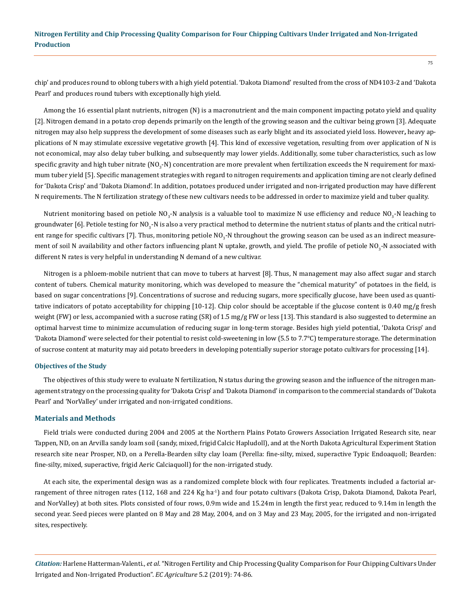chip' and produces round to oblong tubers with a high yield potential. 'Dakota Diamond' resulted from the cross of ND4103-2 and 'Dakota Pearl' and produces round tubers with exceptionally high yield.

Among the 16 essential plant nutrients, nitrogen (N) is a macronutrient and the main component impacting potato yield and quality [2]. Nitrogen demand in a potato crop depends primarily on the length of the growing season and the cultivar being grown [3]. Adequate nitrogen may also help suppress the development of some diseases such as early blight and its associated yield loss. However**,** heavy applications of N may stimulate excessive vegetative growth [4]. This kind of excessive vegetation, resulting from over application of N is not economical, may also delay tuber bulking, and subsequently may lower yields. Additionally, some tuber characteristics, such as low specific gravity and high tuber nitrate (NO<sub>3</sub>-N) concentration are more prevalent when fertilization exceeds the N requirement for maximum tuber yield [5]. Specific management strategies with regard to nitrogen requirements and application timing are not clearly defined for 'Dakota Crisp' and 'Dakota Diamond'. In addition, potatoes produced under irrigated and non-irrigated production may have different N requirements. The N fertilization strategy of these new cultivars needs to be addressed in order to maximize yield and tuber quality.

Nutrient monitoring based on petiole NO<sub>3</sub>-N analysis is a valuable tool to maximize N use efficiency and reduce NO<sub>3</sub>-N leaching to groundwater [6]. Petiole testing for NO<sub>3</sub>-N is also a very practical method to determine the nutrient status of plants and the critical nutrient range for specific cultivars [7]. Thus, monitoring petiole NO<sub>3</sub>-N throughout the growing season can be used as an indirect measurement of soil N availability and other factors influencing plant N uptake, growth, and yield. The profile of petiole NO<sub>3</sub>-N associated with different N rates is very helpful in understanding N demand of a new cultivar.

Nitrogen is a phloem-mobile nutrient that can move to tubers at harvest [8]. Thus, N management may also affect sugar and starch content of tubers. Chemical maturity monitoring, which was developed to measure the "chemical maturity" of potatoes in the field, is based on sugar concentrations [9]. Concentrations of sucrose and reducing sugars, more specifically glucose, have been used as quantitative indicators of potato acceptability for chipping [10-12]. Chip color should be acceptable if the glucose content is 0.40 mg/g fresh weight (FW) or less, accompanied with a sucrose rating (SR) of 1.5 mg/g FW or less [13]. This standard is also suggested to determine an optimal harvest time to minimize accumulation of reducing sugar in long-term storage. Besides high yield potential, 'Dakota Crisp' and 'Dakota Diamond' were selected for their potential to resist cold-sweetening in low (5.5 to 7.7°C) temperature storage. The determination of sucrose content at maturity may aid potato breeders in developing potentially superior storage potato cultivars for processing [14].

#### **Objectives of the Study**

The objectives of this study were to evaluate N fertilization, N status during the growing season and the influence of the nitrogen management strategy on the processing quality for 'Dakota Crisp' and 'Dakota Diamond' in comparison to the commercial standards of 'Dakota Pearl' and 'NorValley' under irrigated and non-irrigated conditions.

#### **Materials and Methods**

Field trials were conducted during 2004 and 2005 at the Northern Plains Potato Growers Association Irrigated Research site, near Tappen, ND, on an Arvilla sandy loam soil (sandy, mixed, frigid Calcic Hapludoll), and at the North Dakota Agricultural Experiment Station research site near Prosper, ND, on a Perella-Bearden silty clay loam (Perella: fine-silty, mixed, superactive Typic Endoaquoll; Bearden: fine-silty, mixed, superactive, frigid Aeric Calciaquoll) for the non-irrigated study.

At each site, the experimental design was as a randomized complete block with four replicates. Treatments included a factorial arrangement of three nitrogen rates (112, 168 and 224 Kg ha<sup>-1</sup>) and four potato cultivars (Dakota Crisp, Dakota Diamond, Dakota Pearl, and NorValley) at both sites. Plots consisted of four rows, 0.9m wide and 15.24m in length the first year, reduced to 9.14m in length the second year. Seed pieces were planted on 8 May and 28 May, 2004, and on 3 May and 23 May, 2005, for the irrigated and non-irrigated sites, respectively.

*Citation:* Harlene Hatterman-Valenti., *et al*. "Nitrogen Fertility and Chip Processing Quality Comparison for Four Chipping Cultivars Under Irrigated and Non-Irrigated Production". *EC Agriculture* 5.2 (2019): 74-86.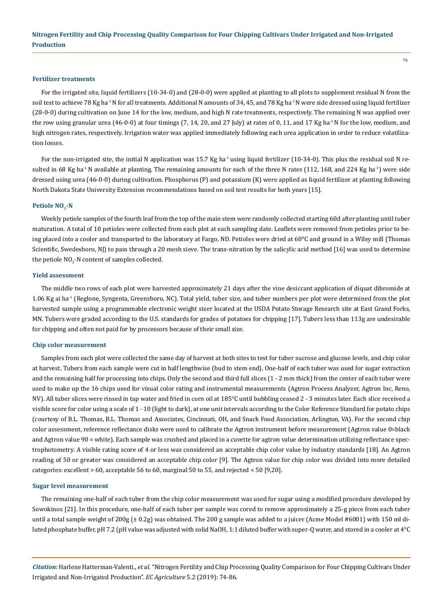#### **Fertilizer treatments**

For the irrigated site, liquid fertilizers (10-34-0) and (28-0-0) were applied at planting to all plots to supplement residual N from the soil test to achieve 78 Kg ha<sup>-1</sup>N for all treatments. Additional N amounts of 34, 45, and 78 Kg ha<sup>-1</sup>N were side dressed using liquid fertilizer (28-0-0) during cultivation on June 14 for the low, medium, and high N rate treatments, respectively. The remaining N was applied over the row using granular urea (46-0-0) at four timings (7, 14, 20, and 27 July) at rates of 0, 11, and 17 Kg ha<sup>-1</sup> N for the low, medium, and high nitrogen rates, respectively. Irrigation water was applied immediately following each urea application in order to reduce volatilization losses.

For the non-irrigated site, the initial N application was  $15.7$  Kg ha<sup>-1</sup> using liquid fertilizer (10-34-0). This plus the residual soil N resulted in 68 Kg ha<sup>-1</sup> N available at planting. The remaining amounts for each of the three N rates (112, 168, and 224 Kg ha<sup>-1</sup>) were side dressed using urea (46-0-0) during cultivation. Phosphorus (P) and potassium (K) were applied as liquid fertilizer at planting following North Dakota State University Extension recommendations based on soil test results for both years [15].

#### Petiole NO<sub>2</sub>-N

Weekly petiole samples of the fourth leaf from the top of the main stem were randomly collected starting 60d after planting until tuber maturation. A total of 10 petioles were collected from each plot at each sampling date. Leaflets were removed from petioles prior to being placed into a cooler and transported to the laboratory at Fargo, ND. Petioles were dried at 60°C and ground in a Wiley mill (Thomas Scientific, Swedesboro, NJ) to pass through a 20 mesh sieve. The trans-nitration by the salicylic acid method [16] was used to determine the petiole NO $_3$ -N content of samples collected.

### **Yield assessment**

The middle two rows of each plot were harvested approximately 21 days after the vine desiccant application of diquat dibromide at 1.06 Kg ai ha-1 (Reglone, Syngenta, Greensboro, NC). Total yield, tuber size, and tuber numbers per plot were determined from the plot harvested sample using a programmable electronic weight sizer located at the USDA Potato Storage Research site at East Grand Forks, MN. Tubers were graded according to the U.S. standards for grades of potatoes for chipping [17]. Tubers less than 113g are undesirable for chipping and often not paid for by processors because of their small size.

#### **Chip color measurement**

Samples from each plot were collected the same day of harvest at both sites to test for tuber sucrose and glucose levels, and chip color at harvest. Tubers from each sample were cut in half lengthwise (bud to stem end). One-half of each tuber was used for sugar extraction and the remaining half for processing into chips. Only the second and third full slices (1 - 2 mm thick) from the center of each tuber were used to make up the 16 chips used for visual color rating and instrumental measurements (Agtron Process Analyzer, Agtron Inc, Reno, NV). All tuber slices were rinsed in tap water and fried in corn oil at 185°C until bubbling ceased 2 - 3 minutes later. Each slice received a visible score for color using a scale of 1 - 10 (light to dark), at one unit intervals according to the Color Reference Standard for potato chips (courtesy of B.L. Thomas, B.L. Thomas and Associates, Cincinnati, OH, and Snack Food Association, Arlington, VA). For the second chip color assessment, reference reflectance disks were used to calibrate the Agtron instrument before measurement (Agtron value 0=black and Agtron value 90 = white). Each sample was crushed and placed in a cuvette for agtron value determination utilizing reflectance spectrophotometry. A visible rating score of 4 or less was considered an acceptable chip color value by industry standards [18]. An Agtron reading of 50 or greater was considered an acceptable chip color [9]. The Agtron value for chip color was divided into more detailed categories: excellent  $> 60$ , acceptable 56 to 60, marginal 50 to 55, and rejected  $< 50$  [9,20].

#### **Sugar level measurement**

The remaining one-half of each tuber from the chip color measurement was used for sugar using a modified procedure developed by Sowokinos [21]. In this procedure, one-half of each tuber per sample was cored to remove approximately a 25-g piece from each tuber until a total sample weight of 200g (± 0.2g) was obtained. The 200 g sample was added to a juicer (Acme Model #6001) with 150 ml diluted phosphate buffer, pH 7.2 (pH value was adjusted with solid NaOH, 1:1 diluted buffer with super-Q water, and stored in a cooler at 4°C

*Citation:* Harlene Hatterman-Valenti., *et al*. "Nitrogen Fertility and Chip Processing Quality Comparison for Four Chipping Cultivars Under Irrigated and Non-Irrigated Production". *EC Agriculture* 5.2 (2019): 74-86.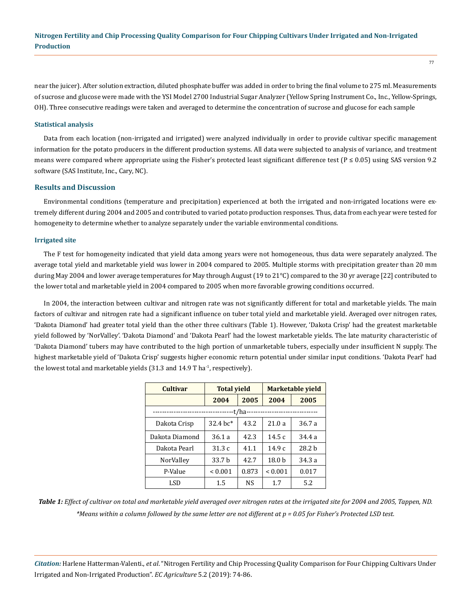near the juicer). After solution extraction, diluted phosphate buffer was added in order to bring the final volume to 275 ml. Measurements of sucrose and glucose were made with the YSI Model 2700 Industrial Sugar Analyzer (Yellow Spring Instrument Co., Inc., Yellow-Springs, OH). Three consecutive readings were taken and averaged to determine the concentration of sucrose and glucose for each sample

### **Statistical analysis**

Data from each location (non-irrigated and irrigated) were analyzed individually in order to provide cultivar specific management information for the potato producers in the different production systems. All data were subjected to analysis of variance, and treatment means were compared where appropriate using the Fisher's protected least significant difference test ( $P \le 0.05$ ) using SAS version 9.2 software (SAS Institute, Inc., Cary, NC).

### **Results and Discussion**

Environmental conditions (temperature and precipitation) experienced at both the irrigated and non-irrigated locations were extremely different during 2004 and 2005 and contributed to varied potato production responses. Thus, data from each year were tested for homogeneity to determine whether to analyze separately under the variable environmental conditions.

### **Irrigated site**

The F test for homogeneity indicated that yield data among years were not homogeneous, thus data were separately analyzed. The average total yield and marketable yield was lower in 2004 compared to 2005. Multiple storms with precipitation greater than 20 mm during May 2004 and lower average temperatures for May through August (19 to 21°C) compared to the 30 yr average [22] contributed to the lower total and marketable yield in 2004 compared to 2005 when more favorable growing conditions occurred.

In 2004, the interaction between cultivar and nitrogen rate was not significantly different for total and marketable yields. The main factors of cultivar and nitrogen rate had a significant influence on tuber total yield and marketable yield. Averaged over nitrogen rates, 'Dakota Diamond' had greater total yield than the other three cultivars (Table 1). However, 'Dakota Crisp' had the greatest marketable yield followed by 'NorValley'. 'Dakota Diamond' and 'Dakota Pearl' had the lowest marketable yields. The late maturity characteristic of 'Dakota Diamond' tubers may have contributed to the high portion of unmarketable tubers, especially under insufficient N supply. The highest marketable yield of 'Dakota Crisp' suggests higher economic return potential under similar input conditions. 'Dakota Pearl' had the lowest total and marketable yields  $(31.3 \text{ and } 14.9 \text{ T} \text{ ha}^{-1})$ , respectively).

| <b>Cultivar</b>                | <b>Total vield</b> |        | Marketable yield  |                         |
|--------------------------------|--------------------|--------|-------------------|-------------------------|
|                                | 2004               | 2005   | 2004              | 2005                    |
| ------------------------------ |                    | -t/ha- |                   | ----------------------- |
| Dakota Crisp                   | 32.4 bc*           | 43.2   | 21.0a             | 36.7 a                  |
| Dakota Diamond                 | 36.1 a             | 42.3   | 14.5c             | 34.4 a                  |
| Dakota Pearl                   | 31.3 c             | 41.1   | 14.9c             | 28.2 <sub>b</sub>       |
| NorValley                      | 33.7 b             | 42.7   | 18.0 <sub>b</sub> | 34.3 a                  |
| P-Value                        | ${}_{0.001}$       | 0.873  | ${}_{0.001}$      | 0.017                   |
| LSD                            | 1.5                | NS     | 1.7               | 5.2                     |

*Table 1: Effect of cultivar on total and marketable yield averaged over nitrogen rates at the irrigated site for 2004 and 2005, Tappen, ND. \*Means within a column followed by the same letter are not different at p = 0.05 for Fisher's Protected LSD test.*

*Citation:* Harlene Hatterman-Valenti., *et al*. "Nitrogen Fertility and Chip Processing Quality Comparison for Four Chipping Cultivars Under Irrigated and Non-Irrigated Production". *EC Agriculture* 5.2 (2019): 74-86.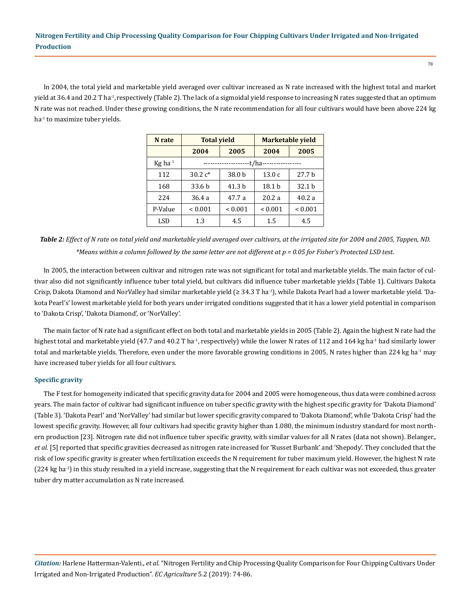In 2004, the total yield and marketable yield averaged over cultivar increased as N rate increased with the highest total and market yield at 36.4 and 20.2 T ha-1, respectively (Table 2). The lack of a sigmoidal yield response to increasing N rates suggested that an optimum N rate was not reached. Under these growing conditions, the N rate recommendation for all four cultivars would have been above 224 kg ha<sup>-1</sup> to maximize tuber yields.

| N rate                | <b>Total yield</b> |                   | Marketable yield |                   |
|-----------------------|--------------------|-------------------|------------------|-------------------|
|                       | 2004               | 2005              | 2004             | 2005              |
| $Kg$ ha <sup>-1</sup> | -t/ha-<br>.        |                   |                  |                   |
| 112                   | 30.2 $c^*$         | 38.0 b            | 13.0c            | 27.7 <sub>b</sub> |
| 168                   | 33.6 b             | 41.3 <sub>b</sub> | 18.1 b           | 32.1 <sub>b</sub> |
| 224                   | 36.4 a             | 47.7 a            | 20.2a            | 40.2a             |
| P-Value               | ${}_{0.001}$       | ${}_{0.001}$      | ${}_{0.001}$     | ${}_{0.001}$      |
| LSD                   | 1.3                | 4.5               | 1.5              | 4.5               |

*Table 2: Effect of N rate on total yield and marketable yield averaged over cultivars, at the irrigated site for 2004 and 2005, Tappen, ND. \*Means within a column followed by the same letter are not different at p = 0.05 for Fisher's Protected LSD test.*

In 2005, the interaction between cultivar and nitrogen rate was not significant for total and marketable yields. The main factor of cultivar also did not significantly influence tuber total yield, but cultivars did influence tuber marketable yields (Table 1). Cultivars Dakota Crisp, Dakota Diamond and NorValley had similar marketable yield (≥ 34.3 T ha-1), while Dakota Pearl had a lower marketable yield. 'Dakota Pearl's' lowest marketable yield for both years under irrigated conditions suggested that it has a lower yield potential in comparison to 'Dakota Crisp', 'Dakota Diamond', or 'NorValley'.

The main factor of N rate had a significant effect on both total and marketable yields in 2005 (Table 2). Again the highest N rate had the highest total and marketable yield (47.7 and 40.2 T ha<sup>-1</sup>, respectively) while the lower N rates of 112 and 164 kg ha<sup>-1</sup> had similarly lower total and marketable yields. Therefore, even under the more favorable growing conditions in 2005, N rates higher than 224 kg ha<sup>-1</sup> may have increased tuber yields for all four cultivars.

### **Specific gravity**

The F test for homogeneity indicated that specific gravity data for 2004 and 2005 were homogeneous, thus data were combined across years. The main factor of cultivar had significant influence on tuber specific gravity with the highest specific gravity for 'Dakota Diamond' (Table 3). 'Dakota Pearl' and 'NorValley' had similar but lower specific gravity compared to 'Dakota Diamond', while 'Dakota Crisp' had the lowest specific gravity. However, all four cultivars had specific gravity higher than 1.080, the minimum industry standard for most northern production [23]. Nitrogen rate did not influence tuber specific gravity, with similar values for all N rates (data not shown). Belanger., *et al.* [5] reported that specific gravities decreased as nitrogen rate increased for 'Russet Burbank' and 'Shepody'. They concluded that the risk of low specific gravity is greater when fertilization exceeds the N requirement for tuber maximum yield. However, the highest N rate (224 kg ha<sup>-1</sup>) in this study resulted in a yield increase, suggesting that the N requirement for each cultivar was not exceeded, thus greater tuber dry matter accumulation as N rate increased.

*Citation:* Harlene Hatterman-Valenti., *et al*. "Nitrogen Fertility and Chip Processing Quality Comparison for Four Chipping Cultivars Under Irrigated and Non-Irrigated Production". *EC Agriculture* 5.2 (2019): 74-86.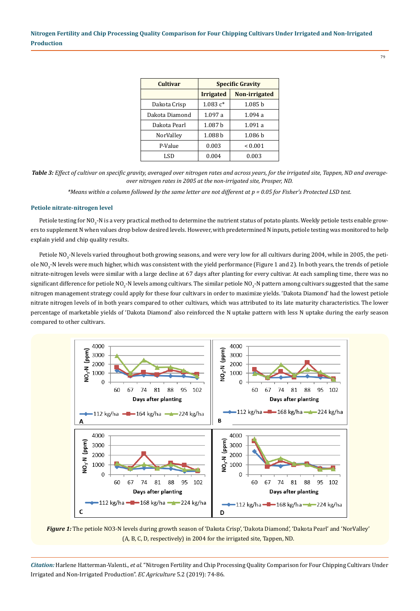| <b>Cultivar</b> | <b>Specific Gravity</b> |                    |  |
|-----------------|-------------------------|--------------------|--|
|                 | <b>Irrigated</b>        | Non-irrigated      |  |
| Dakota Crisp    | $1.083c*$               | 1.085 <sub>b</sub> |  |
| Dakota Diamond  | 1.097a                  | 1.094a             |  |
| Dakota Pearl    | 1.087h                  | 1.091a             |  |
| NorValley       | 1.088 <sub>b</sub>      | 1.086 <sub>b</sub> |  |
| P-Value         | 0.003                   | ${}_{0.001}$       |  |
| LSD             | 0.004                   | 0.003              |  |

*Table 3: Effect of cultivar on specific gravity, averaged over nitrogen rates and across years, for the irrigated site, Tappen, ND and averageover nitrogen rates in 2005 at the non-irrigated site, Prosper, ND.*

*\*Means within a column followed by the same letter are not different at p = 0.05 for Fisher's Protected LSD test.*

### **Petiole nitrate-nitrogen level**

Petiole testing for NO $_3$ -N is a very practical method to determine the nutrient status of potato plants. Weekly petiole tests enable growers to supplement N when values drop below desired levels. However, with predetermined N inputs, petiole testing was monitored to help explain yield and chip quality results.

Petiole NO<sub>3</sub>-N levels varied throughout both growing seasons, and were very low for all cultivars during 2004, while in 2005, the petiole NO $_3$ -N levels were much higher, which was consistent with the yield performance (Figure 1 and 2). In both years, the trends of petiole nitrate-nitrogen levels were similar with a large decline at 67 days after planting for every cultivar. At each sampling time, there was no significant difference for petiole NO<sub>3</sub>-N levels among cultivars. The similar petiole NO<sub>3</sub>-N pattern among cultivars suggested that the same nitrogen management strategy could apply for these four cultivars in order to maximize yields. 'Dakota Diamond' had the lowest petiole nitrate nitrogen levels of in both years compared to other cultivars, which was attributed to its late maturity characteristics. The lower percentage of marketable yields of 'Dakota Diamond' also reinforced the N uptake pattern with less N uptake during the early season compared to other cultivars.



*Figure 1:* The petiole NO3-N levels during growth season of 'Dakota Crisp', 'Dakota Diamond', 'Dakota Pearl' and 'NorValley' (A, B, C, D, respectively) in 2004 for the irrigated site, Tappen, ND.

*Citation:* Harlene Hatterman-Valenti., *et al*. "Nitrogen Fertility and Chip Processing Quality Comparison for Four Chipping Cultivars Under Irrigated and Non-Irrigated Production". *EC Agriculture* 5.2 (2019): 74-86.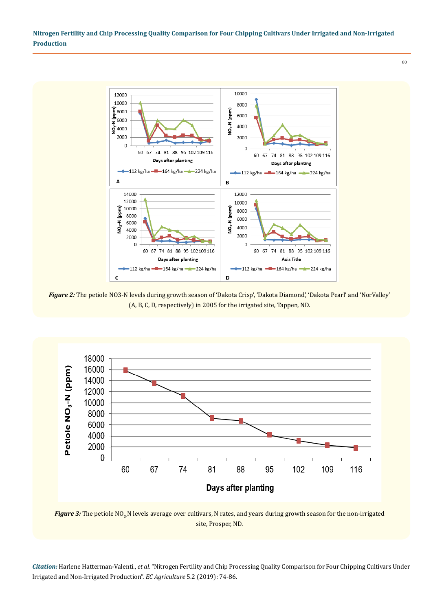$80$ 



*Figure 2:* The petiole NO3-N levels during growth season of 'Dakota Crisp', 'Dakota Diamond', 'Dakota Pearl' and 'NorValley' (A, B, C, D, respectively) in 2005 for the irrigated site, Tappen, ND.





*Citation:* Harlene Hatterman-Valenti., *et al*. "Nitrogen Fertility and Chip Processing Quality Comparison for Four Chipping Cultivars Under Irrigated and Non-Irrigated Production". *EC Agriculture* 5.2 (2019): 74-86.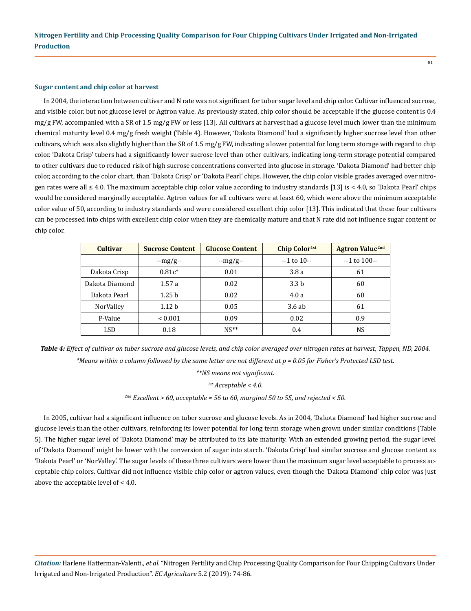#### **Sugar content and chip color at harvest**

In 2004, the interaction between cultivar and N rate was not significant for tuber sugar level and chip color. Cultivar influenced sucrose, and visible color, but not glucose level or Agtron value. As previously stated, chip color should be acceptable if the glucose content is 0.4  $mg/g$  FW, accompanied with a SR of 1.5 mg/g FW or less [13]. All cultivars at harvest had a glucose level much lower than the minimum chemical maturity level 0.4 mg/g fresh weight (Table 4). However, 'Dakota Diamond' had a significantly higher sucrose level than other cultivars, which was also slightly higher than the SR of 1.5 mg/g FW, indicating a lower potential for long term storage with regard to chip color. 'Dakota Crisp' tubers had a significantly lower sucrose level than other cultivars, indicating long-term storage potential compared to other cultivars due to reduced risk of high sucrose concentrations converted into glucose in storage. 'Dakota Diamond' had better chip color, according to the color chart, than 'Dakota Crisp' or 'Dakota Pearl' chips. However, the chip color visible grades averaged over nitrogen rates were all ≤ 4.0. The maximum acceptable chip color value according to industry standards [13] is < 4.0, so 'Dakota Pearl' chips would be considered marginally acceptable. Agtron values for all cultivars were at least 60, which were above the minimum acceptable color value of 50, according to industry standards and were considered excellent chip color [13]. This indicated that these four cultivars can be processed into chips with excellent chip color when they are chemically mature and that N rate did not influence sugar content or chip color.

| <b>Cultivar</b>  | <b>Sucrose Content</b> | <b>Glucose Content</b> | Chip Color <sup>1st</sup> | <b>Agtron Value<sup>2nd</sup></b> |
|------------------|------------------------|------------------------|---------------------------|-----------------------------------|
|                  | $-mg/g-$               | $-mg/g-$               | $-1$ to $10-$             | $-1$ to 100 $-$                   |
| Dakota Crisp     | $0.81c*$               | 0.01                   | 3.8a                      | 61                                |
| Dakota Diamond   | 1.57a                  | 0.02                   | 3.3 <sub>b</sub>          | 60                                |
| Dakota Pearl     | 1.25h                  | 0.02                   | 4.0a                      | 60                                |
| <b>NorValley</b> | 1.12 <sub>b</sub>      | 0.05                   | 3.6ab                     | 61                                |
| P-Value          | < 0.001                | 0.09                   | 0.02                      | 0.9                               |
| LSD              | 0.18                   | $NS**$                 | 0.4                       | NS                                |

*Table 4: Effect of cultivar on tuber sucrose and glucose levels, and chip color averaged over nitrogen rates at harvest, Tappen, ND, 2004. \*Means within a column followed by the same letter are not different at p = 0.05 for Fisher's Protected LSD test.* 

*\*\*NS means not significant.*

*1st Acceptable < 4.0.*

*2nd Excellent > 60, acceptable = 56 to 60, marginal 50 to 55, and rejected < 50.*

In 2005, cultivar had a significant influence on tuber sucrose and glucose levels. As in 2004, 'Dakota Diamond' had higher sucrose and glucose levels than the other cultivars, reinforcing its lower potential for long term storage when grown under similar conditions (Table 5). The higher sugar level of 'Dakota Diamond' may be attributed to its late maturity. With an extended growing period, the sugar level of 'Dakota Diamond' might be lower with the conversion of sugar into starch. 'Dakota Crisp' had similar sucrose and glucose content as 'Dakota Pearl' or 'NorValley'. The sugar levels of these three cultivars were lower than the maximum sugar level acceptable to process acceptable chip colors. Cultivar did not influence visible chip color or agtron values, even though the 'Dakota Diamond' chip color was just above the acceptable level of < 4.0.

*Citation:* Harlene Hatterman-Valenti., *et al*. "Nitrogen Fertility and Chip Processing Quality Comparison for Four Chipping Cultivars Under Irrigated and Non-Irrigated Production". *EC Agriculture* 5.2 (2019): 74-86.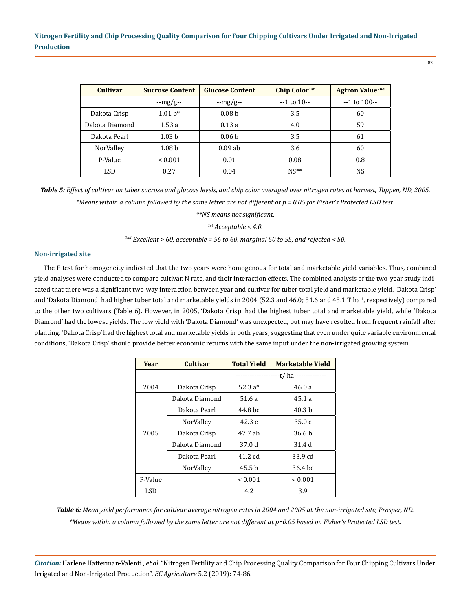| <b>Cultivar</b> | <b>Sucrose Content</b> | <b>Glucose Content</b> | Chip Color <sup>1st</sup> | <b>Agtron Value<sup>2nd</sup></b> |
|-----------------|------------------------|------------------------|---------------------------|-----------------------------------|
|                 | $-mg/g-$               | $-mg/g-$               | $-1$ to 10 $-$            | $-1$ to 100 $-$                   |
| Dakota Crisp    | $1.01 h*$              | 0.08 <sub>b</sub>      | 3.5                       | 60                                |
| Dakota Diamond  | 1.53a                  | 0.13a                  | 4.0                       | 59                                |
| Dakota Pearl    | 1.03 <sub>b</sub>      | 0.06 <sub>b</sub>      | 3.5                       | 61                                |
| NorValley       | 1.08 <sub>b</sub>      | $0.09$ ab              | 3.6                       | 60                                |
| P-Value         | < 0.001                | 0.01                   | 0.08                      | 0.8                               |
| LSD             | 0.27                   | 0.04                   | $NS**$                    | NS                                |

*Table 5: Effect of cultivar on tuber sucrose and glucose levels, and chip color averaged over nitrogen rates at harvest, Tappen, ND, 2005. \*Means within a column followed by the same letter are not different at p = 0.05 for Fisher's Protected LSD test.* 

*\*\*NS means not significant.*

*1st Acceptable < 4.0.*

*2nd Excellent > 60, acceptable = 56 to 60, marginal 50 to 55, and rejected < 50.*

## **Non-irrigated site**

The F test for homogeneity indicated that the two years were homogenous for total and marketable yield variables. Thus, combined yield analyses were conducted to compare cultivar, N rate, and their interaction effects. The combined analysis of the two-year study indicated that there was a significant two-way interaction between year and cultivar for tuber total yield and marketable yield. 'Dakota Crisp' and 'Dakota Diamond' had higher tuber total and marketable yields in 2004 (52.3 and 46.0; 51.6 and 45.1 T ha<sup>-1</sup>, respectively) compared to the other two cultivars (Table 6). However, in 2005, 'Dakota Crisp' had the highest tuber total and marketable yield, while 'Dakota Diamond' had the lowest yields. The low yield with 'Dakota Diamond' was unexpected, but may have resulted from frequent rainfall after planting. 'Dakota Crisp' had the highest total and marketable yields in both years, suggesting that even under quite variable environmental conditions, 'Dakota Crisp' should provide better economic returns with the same input under the non-irrigated growing system.

| Year    | Cultivar       | <b>Total Yield</b>                 | <b>Marketable Yield</b> |
|---------|----------------|------------------------------------|-------------------------|
|         |                | -t/ ha---------------<br>--------- |                         |
| 2004    | Dakota Crisp   | 52.3 $a*$                          | 46.0a                   |
|         | Dakota Diamond | 51.6 a                             | 45.1a                   |
|         | Dakota Pearl   | 44.8 hc                            | 40.3 h                  |
|         | NorValley      | 42.3c                              | 35.0c                   |
| 2005    | Dakota Crisp   | 47.7 ab                            | 36.6 b                  |
|         | Dakota Diamond | 37.0 d                             | 31.4 d                  |
|         | Dakota Pearl   | 41.2 cd                            | 33.9 cd                 |
|         | NorValley      | 45.5 b                             | 36.4 <sub>bc</sub>      |
| P-Value |                | < 0.001                            | < 0.001                 |
| LSD     |                | 4.2                                | 3.9                     |

*Table 6: Mean yield performance for cultivar average nitrogen rates in 2004 and 2005 at the non-irrigated site, Prosper, ND. \*Means within a column followed by the same letter are not different at p=0.05 based on Fisher's Protected LSD test.*

*Citation:* Harlene Hatterman-Valenti., *et al*. "Nitrogen Fertility and Chip Processing Quality Comparison for Four Chipping Cultivars Under Irrigated and Non-Irrigated Production". *EC Agriculture* 5.2 (2019): 74-86.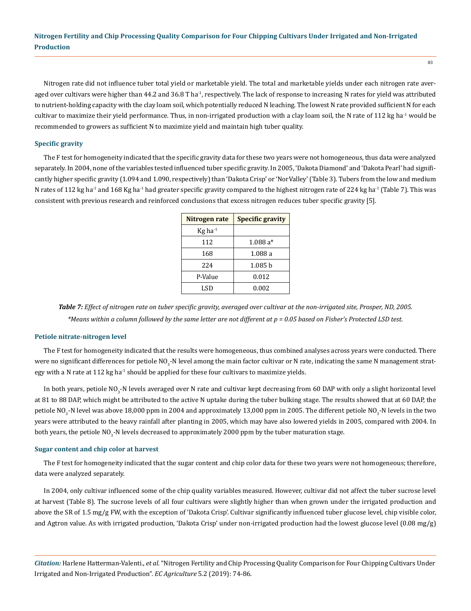Nitrogen rate did not influence tuber total yield or marketable yield. The total and marketable yields under each nitrogen rate averaged over cultivars were higher than 44.2 and 36.8 T ha<sup>-1</sup>, respectively. The lack of response to increasing N rates for yield was attributed to nutrient-holding capacity with the clay loam soil, which potentially reduced N leaching. The lowest N rate provided sufficient N for each cultivar to maximize their yield performance. Thus, in non-irrigated production with a clay loam soil, the N rate of 112 kg ha<sup>-1</sup> would be recommended to growers as sufficient N to maximize yield and maintain high tuber quality.

## **Specific gravity**

The F test for homogeneity indicated that the specific gravity data for these two years were not homogeneous, thus data were analyzed separately. In 2004, none of the variables tested influenced tuber specific gravity. In 2005, 'Dakota Diamond' and 'Dakota Pearl' had significantly higher specific gravity (1.094 and 1.090, respectively) than 'Dakota Crisp' or 'NorValley' (Table 3). Tubers from the low and medium N rates of 112 kg ha<sup>-1</sup> and 168 Kg ha<sup>-1</sup> had greater specific gravity compared to the highest nitrogen rate of 224 kg ha<sup>-1</sup> (Table 7). This was consistent with previous research and reinforced conclusions that excess nitrogen reduces tuber specific gravity [5].

| Nitrogen rate   | <b>Specific gravity</b> |
|-----------------|-------------------------|
| $Kg$ ha $^{-1}$ |                         |
| 112             | $1.088a*$               |
| 168             | 1.088 a                 |
| 224             | 1.085h                  |
| P-Value         | 0.012                   |
| LSD             | 0.002                   |

*Table 7: Effect of nitrogen rate on tuber specific gravity, averaged over cultivar at the non-irrigated site, Prosper, ND, 2005. \*Means within a column followed by the same letter are not different at p = 0.05 based on Fisher's Protected LSD test.*

#### **Petiole nitrate-nitrogen level**

The F test for homogeneity indicated that the results were homogeneous, thus combined analyses across years were conducted. There were no significant differences for petiole NO<sub>3</sub>-N level among the main factor cultivar or N rate, indicating the same N management strategy with a N rate at  $112$  kg ha<sup>-1</sup> should be applied for these four cultivars to maximize yields.

In both years, petiole NO<sub>3</sub>-N levels averaged over N rate and cultivar kept decreasing from 60 DAP with only a slight horizontal level at 81 to 88 DAP, which might be attributed to the active N uptake during the tuber bulking stage. The results showed that at 60 DAP, the petiole NO<sub>3</sub>-N level was above 18,000 ppm in 2004 and approximately 13,000 ppm in 2005. The different petiole NO<sub>3</sub>-N levels in the two years were attributed to the heavy rainfall after planting in 2005, which may have also lowered yields in 2005, compared with 2004. In both years, the petiole NO<sub>3</sub>-N levels decreased to approximately 2000 ppm by the tuber maturation stage.

#### **Sugar content and chip color at harvest**

The F test for homogeneity indicated that the sugar content and chip color data for these two years were not homogeneous; therefore, data were analyzed separately.

In 2004, only cultivar influenced some of the chip quality variables measured. However, cultivar did not affect the tuber sucrose level at harvest (Table 8). The sucrose levels of all four cultivars were slightly higher than when grown under the irrigated production and above the SR of 1.5 mg/g FW, with the exception of 'Dakota Crisp'. Cultivar significantly influenced tuber glucose level, chip visible color, and Agtron value. As with irrigated production, 'Dakota Crisp' under non-irrigated production had the lowest glucose level (0.08 mg/g)

*Citation:* Harlene Hatterman-Valenti., *et al*. "Nitrogen Fertility and Chip Processing Quality Comparison for Four Chipping Cultivars Under Irrigated and Non-Irrigated Production". *EC Agriculture* 5.2 (2019): 74-86.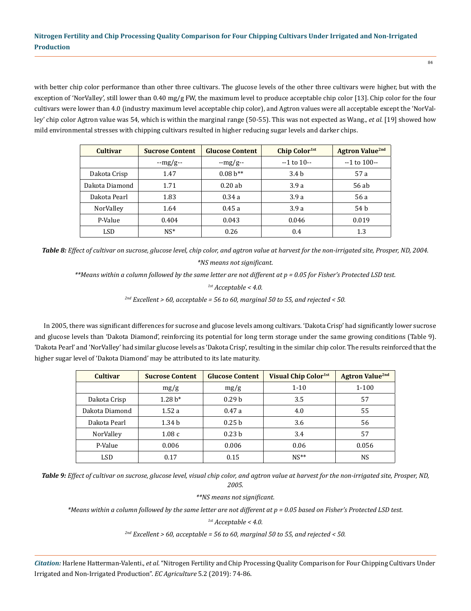with better chip color performance than other three cultivars. The glucose levels of the other three cultivars were higher, but with the exception of 'NorValley', still lower than 0.40 mg/g FW, the maximum level to produce acceptable chip color [13]. Chip color for the four cultivars were lower than 4.0 (industry maximum level acceptable chip color), and Agtron values were all acceptable except the 'NorValley' chip color Agtron value was 54, which is within the marginal range (50-55). This was not expected as Wang., *et al.* [19] showed how mild environmental stresses with chipping cultivars resulted in higher reducing sugar levels and darker chips.

| <b>Cultivar</b> | <b>Sucrose Content</b> | <b>Glucose Content</b> | <b>Chip Color</b> <sup>1st</sup> | <b>Agtron Value<sup>2nd</sup></b> |
|-----------------|------------------------|------------------------|----------------------------------|-----------------------------------|
|                 | $-mg/g-$               | $-mg/g-$               | $-1$ to $10-$                    | $-1$ to 100 $-$                   |
| Dakota Crisp    | 1.47                   | $0.08h^{**}$           | 3.4 <sub>b</sub>                 | 57 a                              |
| Dakota Diamond  | 1.71                   | 0.20ab                 | 3.9a                             | 56 ab                             |
| Dakota Pearl    | 1.83                   | 0.34a                  | 3.9a                             | 56 a                              |
| NorValley       | 1.64                   | 0.45a                  | 3.9a                             | 54 b                              |
| P-Value         | 0.404                  | 0.043                  | 0.046                            | 0.019                             |
| LSD             | $NS^*$                 | 0.26                   | 0.4                              | 1.3                               |

*Table 8: Effect of cultivar on sucrose, glucose level, chip color, and agtron value at harvest for the non-irrigated site, Prosper, ND, 2004. \*NS means not significant.*

*\*\*Means within a column followed by the same letter are not different at p = 0.05 for Fisher's Protected LSD test.*

*1st Acceptable < 4.0.*

*2nd Excellent > 60, acceptable = 56 to 60, marginal 50 to 55, and rejected < 50.*

In 2005, there was significant differences for sucrose and glucose levels among cultivars. 'Dakota Crisp' had significantly lower sucrose and glucose levels than 'Dakota Diamond', reinforcing its potential for long term storage under the same growing conditions (Table 9). 'Dakota Pearl' and 'NorValley' had similar glucose levels as 'Dakota Crisp', resulting in the similar chip color. The results reinforced that the higher sugar level of 'Dakota Diamond' may be attributed to its late maturity.

| <b>Cultivar</b> | <b>Sucrose Content</b> | <b>Glucose Content</b> | Visual Chip Color <sup>1st</sup> | <b>Agtron Value<sup>2nd</sup></b> |
|-----------------|------------------------|------------------------|----------------------------------|-----------------------------------|
|                 | mg/g                   | mg/g                   | $1 - 10$                         | $1 - 100$                         |
| Dakota Crisp    | $1.28 h*$              | 0.29 <sub>b</sub>      | 3.5                              | 57                                |
| Dakota Diamond  | 1.52a                  | 0.47a                  | 4.0                              | 55                                |
| Dakota Pearl    | 1.34 <sub>b</sub>      | 0.25 <sub>b</sub>      | 3.6                              | 56                                |
| NorValley       | 1.08c                  | 0.23 <sub>b</sub>      | 3.4                              | 57                                |
| P-Value         | 0.006                  | 0.006                  | 0.06                             | 0.056                             |
| LSD             | 0.17                   | 0.15                   | $NS**$                           | NS                                |

*Table 9: Effect of cultivar on sucrose, glucose level, visual chip color, and agtron value at harvest for the non-irrigated site, Prosper, ND, 2005.*

*\*\*NS means not significant.*

*\*Means within a column followed by the same letter are not different at p = 0.05 based on Fisher's Protected LSD test.*

*1st Acceptable < 4.0.*

*2nd Excellent > 60, acceptable = 56 to 60, marginal 50 to 55, and rejected < 50.*

*Citation:* Harlene Hatterman-Valenti., *et al*. "Nitrogen Fertility and Chip Processing Quality Comparison for Four Chipping Cultivars Under Irrigated and Non-Irrigated Production". *EC Agriculture* 5.2 (2019): 74-86.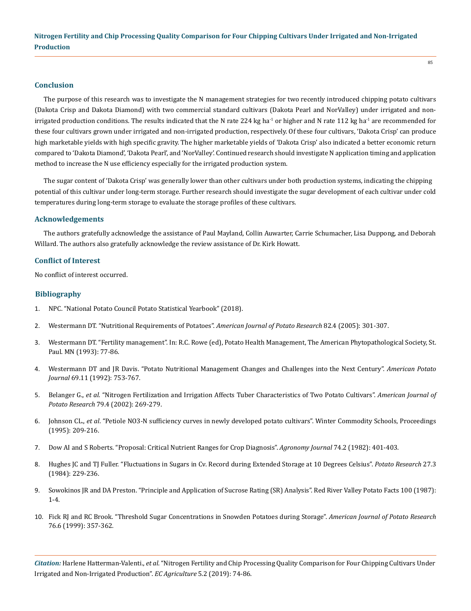#### **Conclusion**

The purpose of this research was to investigate the N management strategies for two recently introduced chipping potato cultivars (Dakota Crisp and Dakota Diamond) with two commercial standard cultivars (Dakota Pearl and NorValley) under irrigated and nonirrigated production conditions. The results indicated that the N rate 224 kg ha<sup>-1</sup> or higher and N rate 112 kg ha<sup>-1</sup> are recommended for these four cultivars grown under irrigated and non-irrigated production, respectively. Of these four cultivars, 'Dakota Crisp' can produce high marketable yields with high specific gravity. The higher marketable yields of 'Dakota Crisp' also indicated a better economic return compared to 'Dakota Diamond', 'Dakota Pearl', and 'NorValley'. Continued research should investigate N application timing and application method to increase the N use efficiency especially for the irrigated production system.

The sugar content of 'Dakota Crisp' was generally lower than other cultivars under both production systems, indicating the chipping potential of this cultivar under long-term storage. Further research should investigate the sugar development of each cultivar under cold temperatures during long-term storage to evaluate the storage profiles of these cultivars.

#### **Acknowledgements**

The authors gratefully acknowledge the assistance of Paul Mayland, Collin Auwarter, Carrie Schumacher, Lisa Duppong, and Deborah Willard. The authors also gratefully acknowledge the review assistance of Dr. Kirk Howatt.

#### **Conflict of Interest**

No conflict of interest occurred.

### **Bibliography**

- 1. [NPC. "National Potato Council Potato Statistical Yearbook" \(2018\).](http://nationalpotatocouncil.org/files/8415/3315/3604/2018_NPC_Statistical_Yearbook.pdf)
- 2. [Westermann DT. "Nutritional Requirements of Potatoes".](https://link.springer.com/article/10.1007/BF02871960) *American Journal of Potato Research* 82.4 (2005): 301-307.
- 3. [Westermann DT. "Fertility management". In: R.C. Rowe \(ed\), Potato Health Management, The American Phytopathological Society, St.](https://www.apsnet.org/apsstore/Documents/aps-catalog-16.pdf)  [Paul. MN \(1993\): 77-86.](https://www.apsnet.org/apsstore/Documents/aps-catalog-16.pdf)
- 4. [Westermann DT and JR Davis. "Potato Nutritional Management Changes and Challenges into the Next Century".](https://link.springer.com/article/10.1007/BF02853817) *American Potato Journal* [69.11 \(1992\): 753-767.](https://link.springer.com/article/10.1007/BF02853817)
- 5. Belanger G., *et al*[. "Nitrogen Fertilization and Irrigation Affects Tuber Characteristics of Two Potato Cultivars".](https://link.springer.com/article/10.1007/BF02986360) *American Journal of Potato Research* [79.4 \(2002\): 269-279.](https://link.springer.com/article/10.1007/BF02986360)
- 6. Johnson CL., *et al*[. "Petiole NO3-N sufficiency curves in newly developed potato cultivars". Winter Commodity Schools, Proceedings](https://www.researchgate.net/publication/285312306_Petiole_NO3-N_sufficiency_curves_in_newly_developed_potato_cultivars) [\(1995\): 209-216.](https://www.researchgate.net/publication/285312306_Petiole_NO3-N_sufficiency_curves_in_newly_developed_potato_cultivars)
- 7. [Dow AI and S Roberts. "Proposal: Critical Nutrient Ranges for Crop Diagnosis".](https://dl.sciencesocieties.org/publications/aj/abstracts/74/2/AJ0740020401) *Agronomy Journal* 74.2 (1982): 401-403.
- 8. [Hughes JC and TJ Fuller. "Fluctuations in Sugars in Cv. Record during Extended Storage at 10 Degrees Celsius".](http://agris.fao.org/agris-search/search.do;jsessionid=9EAED0A95F127AF79226C86576846982?request_locale=en&recordID=XE8482917&sourceQuery=&query=&sortField=&sortOrder=&agrovocString=&advQuery=¢erString=&enableField=) *Potato Research* 27.3 [\(1984\): 229-236.](http://agris.fao.org/agris-search/search.do;jsessionid=9EAED0A95F127AF79226C86576846982?request_locale=en&recordID=XE8482917&sourceQuery=&query=&sortField=&sortOrder=&agrovocString=&advQuery=¢erString=&enableField=)
- 9. Sowokinos JR and DA Preston. "Principle and Application of Sucrose Rating (SR) Analysis". Red River Valley Potato Facts 100 (1987): 1-4.
- 10. [Fick RJ and RC Brook. "Threshold Sugar Concentrations in Snowden Potatoes during Storage".](https://link.springer.com/article/10.1007/BF02910010) *American Journal of Potato Research* [76.6 \(1999\): 357-362.](https://link.springer.com/article/10.1007/BF02910010)

*Citation:* Harlene Hatterman-Valenti., *et al*. "Nitrogen Fertility and Chip Processing Quality Comparison for Four Chipping Cultivars Under Irrigated and Non-Irrigated Production". *EC Agriculture* 5.2 (2019): 74-86.